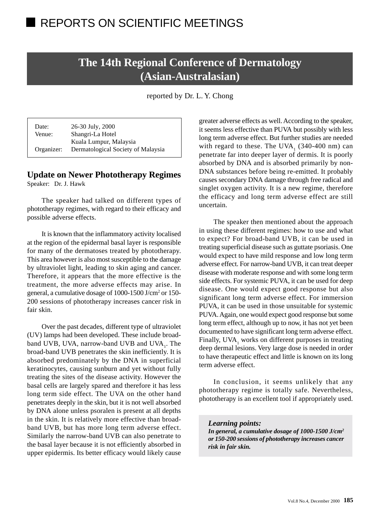# **The 14th Regional Conference of Dermatology (Asian-Australasian)**

reported by Dr. L. Y. Chong

Date: 26-30 July, 2000 Venue: Shangri-La Hotel Kuala Lumpur, Malaysia Organizer: Dermatological Society of Malaysia

## **Update on Newer Phototherapy Regimes**

Speaker: Dr. J. Hawk

The speaker had talked on different types of phototherapy regimes, with regard to their efficacy and possible adverse effects.

It is known that the inflammatory activity localised at the region of the epidermal basal layer is responsible for many of the dermatoses treated by phototherapy. This area however is also most susceptible to the damage by ultraviolet light, leading to skin aging and cancer. Therefore, it appears that the more effective is the treatment, the more adverse effects may arise. In general, a cumulative dosage of 1000-1500 J/cm<sup>2</sup> or 150-200 sessions of phototherapy increases cancer risk in fair skin.

Over the past decades, different type of ultraviolet (UV) lamps had been developed. These include broadband UVB, UVA, narrow-band UVB and UVA $_1$ . The broad-band UVB penetrates the skin inefficiently. It is absorbed predominately by the DNA in superficial keratinocytes, causing sunburn and yet without fully treating the sites of the disease activity. However the basal cells are largely spared and therefore it has less long term side effect. The UVA on the other hand penetrates deeply in the skin, but it is not well absorbed by DNA alone unless psoralen is present at all depths in the skin. It is relatively more effective than broadband UVB, but has more long term adverse effect. Similarly the narrow-band UVB can also penetrate to the basal layer because it is not efficiently absorbed in upper epidermis. Its better efficacy would likely cause

greater adverse effects as well. According to the speaker, it seems less effective than PUVA but possibly with less long term adverse effect. But further studies are needed with regard to these. The  $UVA<sub>1</sub>$  (340-400 nm) can penetrate far into deeper layer of dermis. It is poorly absorbed by DNA and is absorbed primarily by non-DNA substances before being re-emitted. It probably causes secondary DNA damage through free radical and singlet oxygen activity. It is a new regime, therefore the efficacy and long term adverse effect are still uncertain.

The speaker then mentioned about the approach in using these different regimes: how to use and what to expect? For broad-band UVB, it can be used in treating superficial disease such as guttate psoriasis. One would expect to have mild response and low long term adverse effect. For narrow-band UVB, it can treat deeper disease with moderate response and with some long term side effects. For systemic PUVA, it can be used for deep disease. One would expect good response but also significant long term adverse effect. For immersion PUVA, it can be used in those unsuitable for systemic PUVA. Again, one would expect good response but some long term effect, although up to now, it has not yet been documented to have significant long term adverse effect. Finally, UVA<sub>1</sub> works on different purposes in treating deep dermal lesions. Very large dose is needed in order to have therapeutic effect and little is known on its long term adverse effect.

In conclusion, it seems unlikely that any phototherapy regime is totally safe. Nevertheless, phototherapy is an excellent tool if appropriately used.

*Learning points: In general, a cumulative dosage of 1000-1500 J/cm2 or 150-200 sessions of phototherapy increases cancer risk in fair skin.*